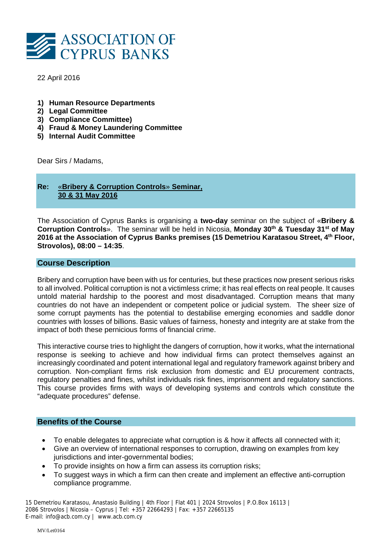

22 April 2016

- **1) Human Resource Departments**
- **2) Legal Committee**
- **3) Compliance Committee)**
- **4) Fraud & Money Laundering Committee**
- **5) Internal Audit Committee**

Dear Sirs / Madams,

# **Re:** «**Bribery & Corruption Controls**» **Seminar, 30 & 31 May 2016**

The Association of Cyprus Banks is organising a **two-day** seminar on the subject of «**Bribery & Corruption Controls**». The seminar will be held in Nicosia, **Monday 30th & Tuesday 31st of May**  2016 at the Association of Cyprus Banks premises (15 Demetriou Karatasou Street, 4<sup>th</sup> Floor, **Strovolos), 08:00 – 14:35**.

## **Course Description**

Bribery and corruption have been with us for centuries, but these practices now present serious risks to all involved. Political corruption is not a victimless crime; it has real effects on real people. It causes untold material hardship to the poorest and most disadvantaged. Corruption means that many countries do not have an independent or competent police or judicial system. The sheer size of some corrupt payments has the potential to destabilise emerging economies and saddle donor countries with losses of billions. Basic values of fairness, honesty and integrity are at stake from the impact of both these pernicious forms of financial crime.

This interactive course tries to highlight the dangers of corruption, how it works, what the international response is seeking to achieve and how individual firms can protect themselves against an increasingly coordinated and potent international legal and regulatory framework against bribery and corruption. Non-compliant firms risk exclusion from domestic and EU procurement contracts, regulatory penalties and fines, whilst individuals risk fines, imprisonment and regulatory sanctions. This course provides firms with ways of developing systems and controls which constitute the "adequate procedures" defense.

#### **Benefits of the Course**

- To enable delegates to appreciate what corruption is & how it affects all connected with it;
- Give an overview of international responses to corruption, drawing on examples from key jurisdictions and inter-governmental bodies;
- To provide insights on how a firm can assess its corruption risks;
- To suggest ways in which a firm can then create and implement an effective anti-corruption compliance programme.

15 Demetriou Karatasou, Anastasio Building | 4th Floor | Flat 401 | 2024 Strovolos | P.O.Box 16113 | 2086 Strovolos | Nicosia – Cyprus | Tel: +357 22664293 | Fax: +357 22665135 E-mail: info@acb.com.cy | www.acb.com.cy